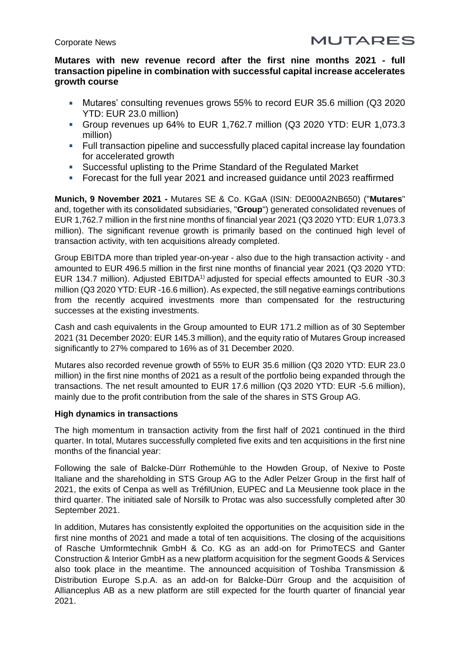# **Mutares with new revenue record after the first nine months 2021 - full transaction pipeline in combination with successful capital increase accelerates growth course**

- Mutares' consulting revenues grows 55% to record EUR 35.6 million (Q3 2020 YTD: EUR 23.0 million)
- Group revenues up 64% to EUR 1,762.7 million (Q3 2020 YTD: EUR 1,073.3 million)
- Full transaction pipeline and successfully placed capital increase lay foundation for accelerated growth
- Successful uplisting to the Prime Standard of the Regulated Market
- Forecast for the full year 2021 and increased guidance until 2023 reaffirmed

**Munich, 9 November 2021 -** Mutares SE & Co. KGaA (ISIN: DE000A2NB650) ("**Mutares**" and, together with its consolidated subsidiaries, "**Group**") generated consolidated revenues of EUR 1,762.7 million in the first nine months of financial year 2021 (Q3 2020 YTD: EUR 1,073.3 million). The significant revenue growth is primarily based on the continued high level of transaction activity, with ten acquisitions already completed.

Group EBITDA more than tripled year-on-year - also due to the high transaction activity - and amounted to EUR 496.5 million in the first nine months of financial year 2021 (Q3 2020 YTD: EUR 134.7 million). Adjusted EBITDA<sup>1)</sup> adjusted for special effects amounted to EUR -30.3 million (Q3 2020 YTD: EUR -16.6 million). As expected, the still negative earnings contributions from the recently acquired investments more than compensated for the restructuring successes at the existing investments.

Cash and cash equivalents in the Group amounted to EUR 171.2 million as of 30 September 2021 (31 December 2020: EUR 145.3 million), and the equity ratio of Mutares Group increased significantly to 27% compared to 16% as of 31 December 2020.

Mutares also recorded revenue growth of 55% to EUR 35.6 million (Q3 2020 YTD: EUR 23.0 million) in the first nine months of 2021 as a result of the portfolio being expanded through the transactions. The net result amounted to EUR 17.6 million (Q3 2020 YTD: EUR -5.6 million), mainly due to the profit contribution from the sale of the shares in STS Group AG.

### **High dynamics in transactions**

The high momentum in transaction activity from the first half of 2021 continued in the third quarter. In total, Mutares successfully completed five exits and ten acquisitions in the first nine months of the financial year:

Following the sale of Balcke-Dürr Rothemühle to the Howden Group, of Nexive to Poste Italiane and the shareholding in STS Group AG to the Adler Pelzer Group in the first half of 2021, the exits of Cenpa as well as TréfilUnion, EUPEC and La Meusienne took place in the third quarter. The initiated sale of Norsilk to Protac was also successfully completed after 30 September 2021.

In addition, Mutares has consistently exploited the opportunities on the acquisition side in the first nine months of 2021 and made a total of ten acquisitions. The closing of the acquisitions of Rasche Umformtechnik GmbH & Co. KG as an add-on for PrimoTECS and Ganter Construction & Interior GmbH as a new platform acquisition for the segment Goods & Services also took place in the meantime. The announced acquisition of Toshiba Transmission & Distribution Europe S.p.A. as an add-on for Balcke-Dürr Group and the acquisition of Allianceplus AB as a new platform are still expected for the fourth quarter of financial year 2021.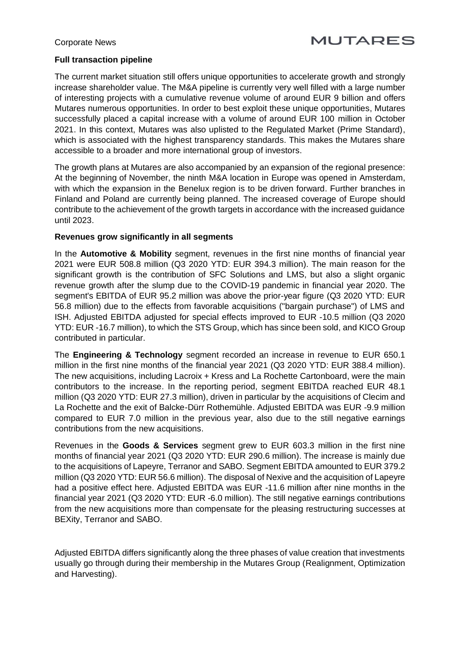#### Corporate News

# **MUTARES**

# **Full transaction pipeline**

The current market situation still offers unique opportunities to accelerate growth and strongly increase shareholder value. The M&A pipeline is currently very well filled with a large number of interesting projects with a cumulative revenue volume of around EUR 9 billion and offers Mutares numerous opportunities. In order to best exploit these unique opportunities, Mutares successfully placed a capital increase with a volume of around EUR 100 million in October 2021. In this context, Mutares was also uplisted to the Regulated Market (Prime Standard), which is associated with the highest transparency standards. This makes the Mutares share accessible to a broader and more international group of investors.

The growth plans at Mutares are also accompanied by an expansion of the regional presence: At the beginning of November, the ninth M&A location in Europe was opened in Amsterdam, with which the expansion in the Benelux region is to be driven forward. Further branches in Finland and Poland are currently being planned. The increased coverage of Europe should contribute to the achievement of the growth targets in accordance with the increased guidance until 2023.

### **Revenues grow significantly in all segments**

In the **Automotive & Mobility** segment, revenues in the first nine months of financial year 2021 were EUR 508.8 million (Q3 2020 YTD: EUR 394.3 million). The main reason for the significant growth is the contribution of SFC Solutions and LMS, but also a slight organic revenue growth after the slump due to the COVID-19 pandemic in financial year 2020. The segment's EBITDA of EUR 95.2 million was above the prior-year figure (Q3 2020 YTD: EUR 56.8 million) due to the effects from favorable acquisitions ("bargain purchase") of LMS and ISH. Adjusted EBITDA adjusted for special effects improved to EUR -10.5 million (Q3 2020 YTD: EUR -16.7 million), to which the STS Group, which has since been sold, and KICO Group contributed in particular.

The **Engineering & Technology** segment recorded an increase in revenue to EUR 650.1 million in the first nine months of the financial year 2021 (Q3 2020 YTD: EUR 388.4 million). The new acquisitions, including Lacroix + Kress and La Rochette Cartonboard, were the main contributors to the increase. In the reporting period, segment EBITDA reached EUR 48.1 million (Q3 2020 YTD: EUR 27.3 million), driven in particular by the acquisitions of Clecim and La Rochette and the exit of Balcke-Dürr Rothemühle. Adjusted EBITDA was EUR -9.9 million compared to EUR 7.0 million in the previous year, also due to the still negative earnings contributions from the new acquisitions.

Revenues in the **Goods & Services** segment grew to EUR 603.3 million in the first nine months of financial year 2021 (Q3 2020 YTD: EUR 290.6 million). The increase is mainly due to the acquisitions of Lapeyre, Terranor and SABO. Segment EBITDA amounted to EUR 379.2 million (Q3 2020 YTD: EUR 56.6 million). The disposal of Nexive and the acquisition of Lapeyre had a positive effect here. Adjusted EBITDA was EUR -11.6 million after nine months in the financial year 2021 (Q3 2020 YTD: EUR -6.0 million). The still negative earnings contributions from the new acquisitions more than compensate for the pleasing restructuring successes at BEXity, Terranor and SABO.

Adjusted EBITDA differs significantly along the three phases of value creation that investments usually go through during their membership in the Mutares Group (Realignment, Optimization and Harvesting).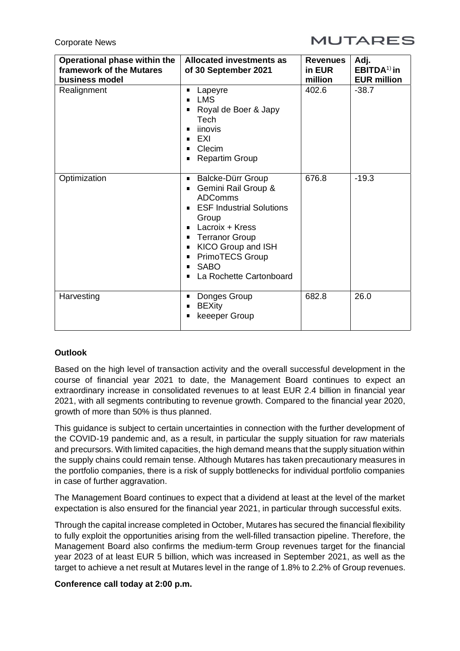Corporate News



| Operational phase within the<br>framework of the Mutares<br>business model | <b>Allocated investments as</b><br>of 30 September 2021                                                                                                                                                                                                               | <b>Revenues</b><br>in EUR<br>million | Adj.<br>$EBITDA1$ in<br><b>EUR million</b> |
|----------------------------------------------------------------------------|-----------------------------------------------------------------------------------------------------------------------------------------------------------------------------------------------------------------------------------------------------------------------|--------------------------------------|--------------------------------------------|
| Realignment                                                                | Lapeyre<br><b>LMS</b><br>Royal de Boer & Japy<br>Tech<br>iinovis<br>EXI<br>п<br>Clecim<br><b>Repartim Group</b><br>п                                                                                                                                                  | 402.6                                | $-38.7$                                    |
| Optimization                                                               | Balcke-Dürr Group<br>п<br>Gemini Rail Group &<br>п<br><b>ADComms</b><br><b>ESF Industrial Solutions</b><br>Group<br>Lacroix + Kress<br><b>Terranor Group</b><br>KICO Group and ISH<br><b>PrimoTECS Group</b><br>п<br><b>SABO</b><br>п<br>La Rochette Cartonboard<br>п | 676.8                                | $-19.3$                                    |
| Harvesting                                                                 | Donges Group<br><b>BEXity</b><br>keeeper Group                                                                                                                                                                                                                        | 682.8                                | 26.0                                       |

# **Outlook**

Based on the high level of transaction activity and the overall successful development in the course of financial year 2021 to date, the Management Board continues to expect an extraordinary increase in consolidated revenues to at least EUR 2.4 billion in financial year 2021, with all segments contributing to revenue growth. Compared to the financial year 2020, growth of more than 50% is thus planned.

This guidance is subject to certain uncertainties in connection with the further development of the COVID-19 pandemic and, as a result, in particular the supply situation for raw materials and precursors. With limited capacities, the high demand means that the supply situation within the supply chains could remain tense. Although Mutares has taken precautionary measures in the portfolio companies, there is a risk of supply bottlenecks for individual portfolio companies in case of further aggravation.

The Management Board continues to expect that a dividend at least at the level of the market expectation is also ensured for the financial year 2021, in particular through successful exits.

Through the capital increase completed in October, Mutares has secured the financial flexibility to fully exploit the opportunities arising from the well-filled transaction pipeline. Therefore, the Management Board also confirms the medium-term Group revenues target for the financial year 2023 of at least EUR 5 billion, which was increased in September 2021, as well as the target to achieve a net result at Mutares level in the range of 1.8% to 2.2% of Group revenues.

### **Conference call today at 2:00 p.m.**